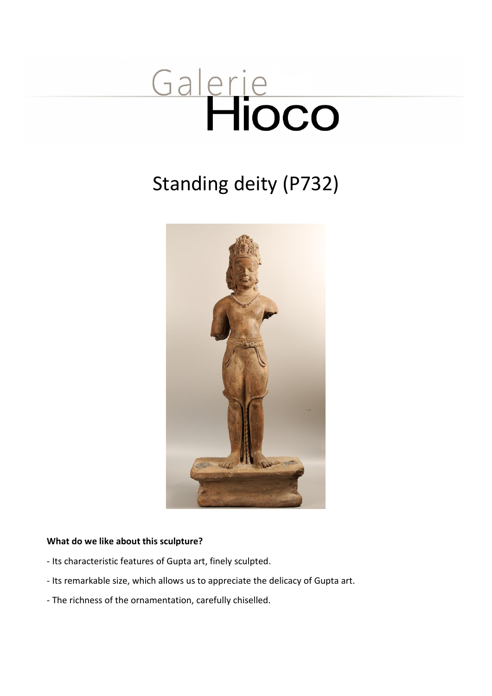# Galerie

# Standing deity (P732)



#### **What do we like about this sculpture?**

- Its characteristic features of Gupta art, finely sculpted.
- Its remarkable size, which allows us to appreciate the delicacy of Gupta art.
- The richness of the ornamentation, carefully chiselled.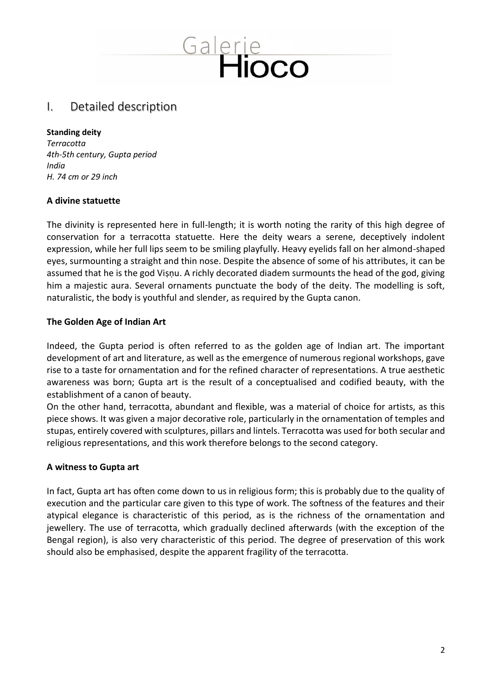# Galerie<br>Hioco

### I. Detailed description

#### **Standing deity**

*Terracotta 4th-5th century, Gupta period India H. 74 cm or 29 inch*

#### **A divine statuette**

The divinity is represented here in full-length; it is worth noting the rarity of this high degree of conservation for a terracotta statuette. Here the deity wears a serene, deceptively indolent expression, while her full lips seem to be smiling playfully. Heavy eyelids fall on her almond-shaped eyes, surmounting a straight and thin nose. Despite the absence of some of his attributes, it can be assumed that he is the god Viṣṇu. A richly decorated diadem surmounts the head of the god, giving him a majestic aura. Several ornaments punctuate the body of the deity. The modelling is soft, naturalistic, the body is youthful and slender, as required by the Gupta canon.

#### **The Golden Age of Indian Art**

Indeed, the Gupta period is often referred to as the golden age of Indian art. The important development of art and literature, as well as the emergence of numerous regional workshops, gave rise to a taste for ornamentation and for the refined character of representations. A true aesthetic awareness was born; Gupta art is the result of a conceptualised and codified beauty, with the establishment of a canon of beauty.

On the other hand, terracotta, abundant and flexible, was a material of choice for artists, as this piece shows. It was given a major decorative role, particularly in the ornamentation of temples and stupas, entirely covered with sculptures, pillars and lintels. Terracotta was used for both secular and religious representations, and this work therefore belongs to the second category.

#### **A witness to Gupta art**

In fact, Gupta art has often come down to us in religious form; this is probably due to the quality of execution and the particular care given to this type of work. The softness of the features and their atypical elegance is characteristic of this period, as is the richness of the ornamentation and jewellery. The use of terracotta, which gradually declined afterwards (with the exception of the Bengal region), is also very characteristic of this period. The degree of preservation of this work should also be emphasised, despite the apparent fragility of the terracotta.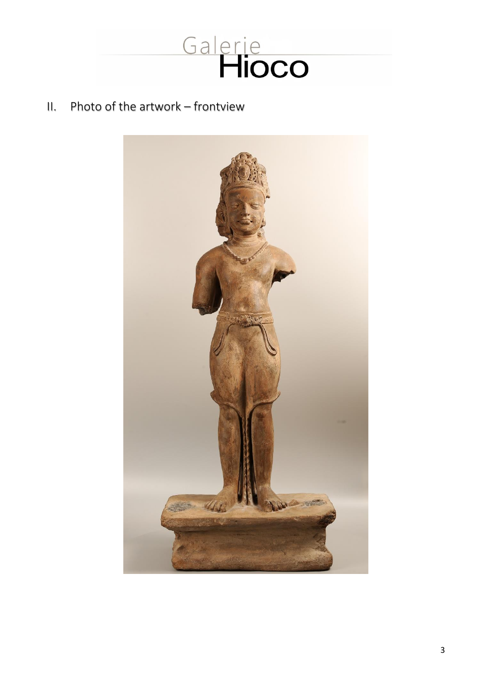

# II. Photo of the artwork – frontview

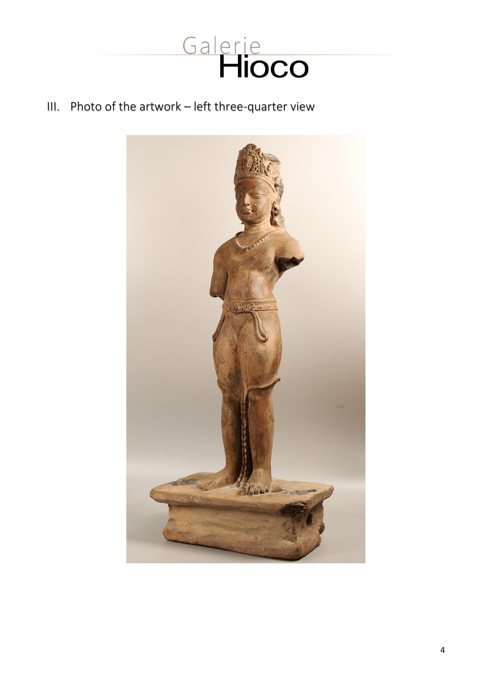

# III. Photo of the artwork – left three-quarter view

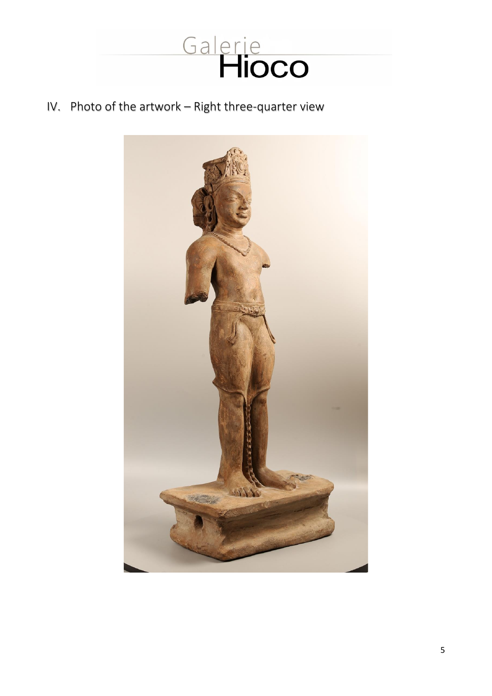

IV. Photo of the artwork – Right three-quarter view

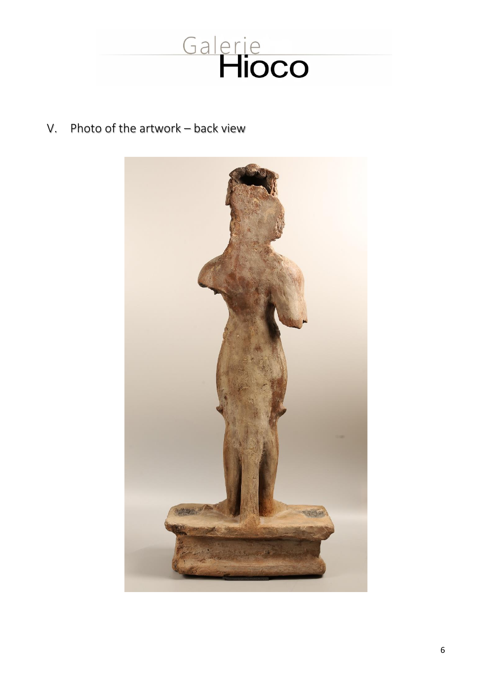

V. Photo of the artwork – back view

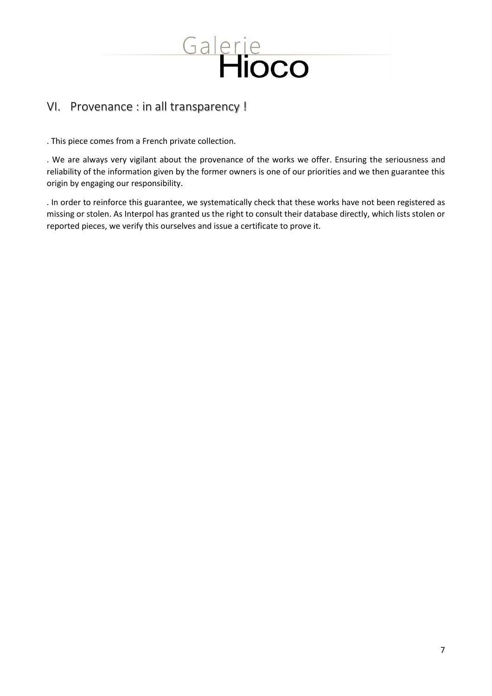

# VI. Provenance : in all transparency !

. This piece comes from a French private collection.

. We are always very vigilant about the provenance of the works we offer. Ensuring the seriousness and reliability of the information given by the former owners is one of our priorities and we then guarantee this origin by engaging our responsibility.

. In order to reinforce this guarantee, we systematically check that these works have not been registered as missing or stolen. As Interpol has granted us the right to consult their database directly, which lists stolen or reported pieces, we verify this ourselves and issue a certificate to prove it.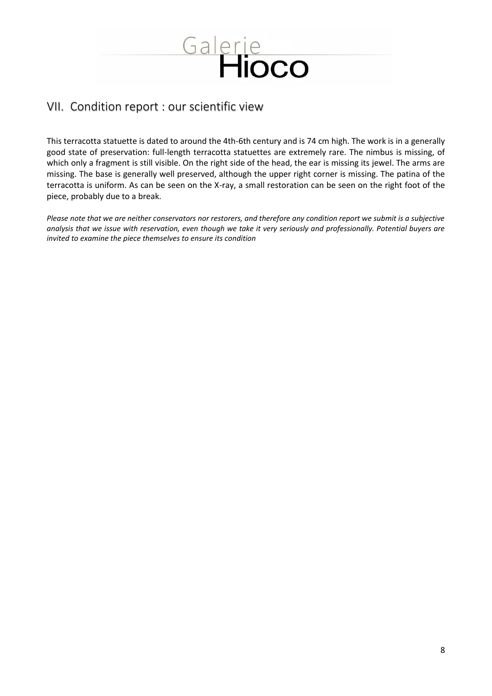

# VII. Condition report : our scientific view

This terracotta statuette is dated to around the 4th-6th century and is 74 cm high. The work is in a generally good state of preservation: full-length terracotta statuettes are extremely rare. The nimbus is missing, of which only a fragment is still visible. On the right side of the head, the ear is missing its jewel. The arms are missing. The base is generally well preserved, although the upper right corner is missing. The patina of the terracotta is uniform. As can be seen on the X-ray, a small restoration can be seen on the right foot of the piece, probably due to a break.

*Please note that we are neither conservators nor restorers, and therefore any condition report we submit is a subjective analysis that we issue with reservation, even though we take it very seriously and professionally. Potential buyers are invited to examine the piece themselves to ensure its condition*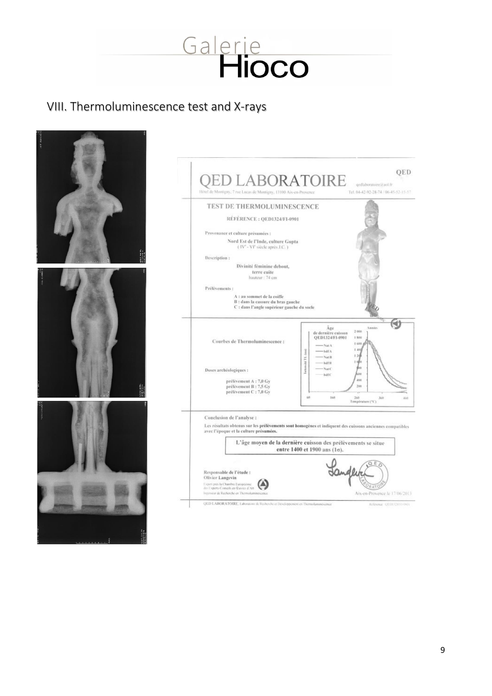

# VIII. Thermoluminescence test and X-rays

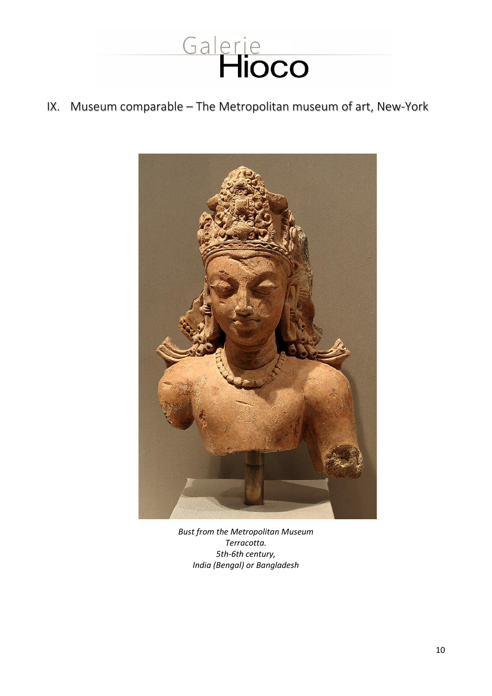

# IX. Museum comparable – The Metropolitan museum of art, New-York



*Bust from the Metropolitan Museum Terracotta. 5th-6th century, India (Bengal) or Bangladesh*